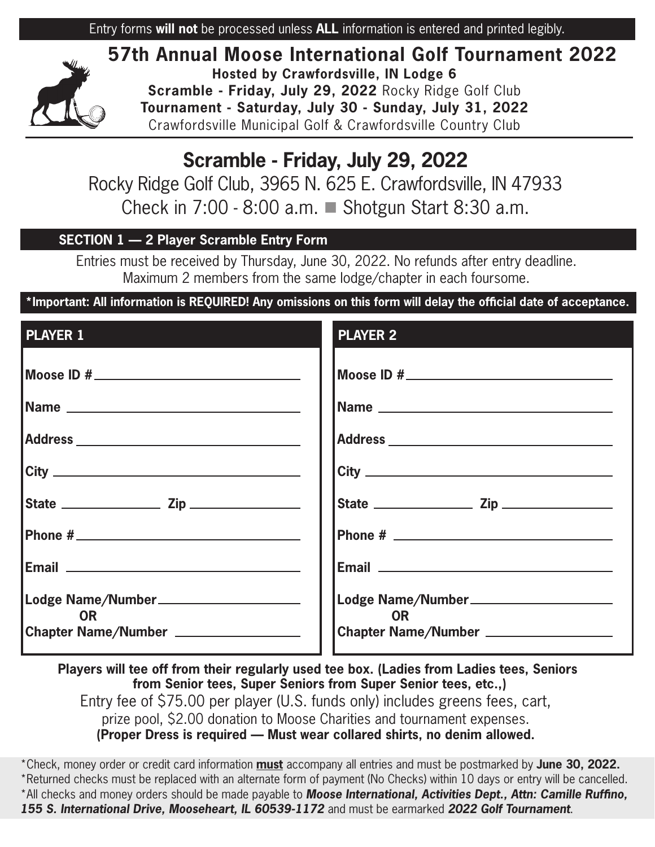Entry forms **will not** be processed unless **ALL** information is entered and printed legibly.



**57th Annual Moose International Golf Tournament 2022 Hosted by Crawfordsville, IN Lodge 6 Scramble - Friday, July 29, 2022** Rocky Ridge Golf Club **Tournament - Saturday, July 30 - Sunday, July 31, 2022**  Crawfordsville Municipal Golf & Crawfordsville Country Club

# **Scramble - Friday, July 29, 2022**

Rocky Ridge Golf Club, 3965 N. 625 E. Crawfordsville, IN 47933 Check in  $7:00 - 8:00$  a.m.  $\blacksquare$  Shotgun Start 8:30 a.m.

# **SECTION 1 — 2 Player Scramble Entry Form**

Entries must be received by Thursday, June 30, 2022. No refunds after entry deadline. Maximum 2 members from the same lodge/chapter in each foursome.

**\*Important: All information is REQUIRED! Any omissions on this form will delay the official date of acceptance.** 

| <b>PLAYER 1</b>                                                                                              | <b>PLAYER 2</b>                                                                                                     |
|--------------------------------------------------------------------------------------------------------------|---------------------------------------------------------------------------------------------------------------------|
|                                                                                                              |                                                                                                                     |
|                                                                                                              |                                                                                                                     |
|                                                                                                              |                                                                                                                     |
| $\overline{\text{City}}$                                                                                     |                                                                                                                     |
|                                                                                                              |                                                                                                                     |
|                                                                                                              |                                                                                                                     |
| <b>Email</b> 2008 - 2008 - 2014 - 2015 - 2016 - 2017 - 2018 - 2018 - 2018 - 2018 - 2018 - 2018 - 2018 - 2018 | <b>Email</b> 2008 2009 2010 2021 2022 2023 2024 2022 2022 2023 2024 2022 2023 2024 2022 2023 2024 2022 2023 2024 20 |
| Lodge Name/Number___________________<br><b>OR</b>                                                            | Lodge Name/Number______________________<br><b>OR</b>                                                                |
| Chapter Name/Number ________________                                                                         | Chapter Name/Number __________________                                                                              |

**Players will tee off from their regularly used tee box. (Ladies from Ladies tees, Seniors from Senior tees, Super Seniors from Super Senior tees, etc.,)**

Entry fee of \$75.00 per player (U.S. funds only) includes greens fees, cart, prize pool, \$2.00 donation to Moose Charities and tournament expenses. **(Proper Dress is required — Must wear collared shirts, no denim allowed.**

\*Check, money order or credit card information **must** accompany all entries and must be postmarked by **June 30, 2022.**  \*Returned checks must be replaced with an alternate form of payment (No Checks) within 10 days or entry will be cancelled. \*All checks and money orders should be made payable to *Moose International, Activities Dept., Attn: Camille Ruffino, 155 S. International Drive, Mooseheart, IL 60539-1172* and must be earmarked *2022 Golf Tournament*.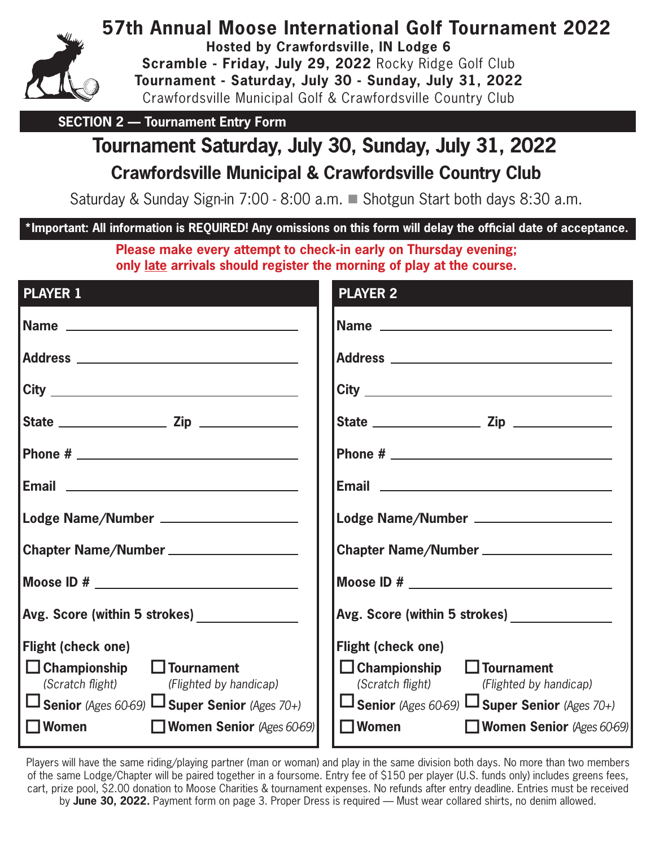

**57th Annual Moose International Golf Tournament 2022**

**Hosted by Crawfordsville, IN Lodge 6**

**Scramble - Friday, July 29, 2022** Rocky Ridge Golf Club **Tournament - Saturday, July 30 - Sunday, July 31, 2022**  Crawfordsville Municipal Golf & Crawfordsville Country Club

**SECTION 2 — Tournament Entry Form** 

# **Tournament Saturday, July 30, Sunday, July 31, 2022**

# **Crawfordsville Municipal & Crawfordsville Country Club**

Saturday & Sunday Sign-in 7:00 - 8:00 a.m. ■ Shotgun Start both days 8:30 a.m.

# **\*Important: All information is REQUIRED! Any omissions on this form will delay the official date of acceptance.**

**Please make every attempt to check-in early on Thursday evening; only late arrivals should register the morning of play at the course.**

| <b>PLAYER 1</b>                                                                                | <b>PLAYER 2</b>                                                                                   |  |
|------------------------------------------------------------------------------------------------|---------------------------------------------------------------------------------------------------|--|
|                                                                                                |                                                                                                   |  |
|                                                                                                |                                                                                                   |  |
|                                                                                                |                                                                                                   |  |
|                                                                                                |                                                                                                   |  |
|                                                                                                |                                                                                                   |  |
|                                                                                                | Email <u>_________________________________</u>                                                    |  |
| Lodge Name/Number ___________________                                                          | Lodge Name/Number ____________________                                                            |  |
| Chapter Name/Number ___________________                                                        | Chapter Name/Number ____________________                                                          |  |
|                                                                                                |                                                                                                   |  |
| Avg. Score (within 5 strokes) _______________                                                  | Avg. Score (within 5 strokes) ______________                                                      |  |
| <b>Flight (check one)</b>                                                                      | <b>Flight (check one)</b>                                                                         |  |
| $\Box$ Championship $\Box$ Tournament                                                          | $\Box$ Championship $\Box$ Tournament                                                             |  |
| (Scratch flight) (Flighted by handicap)<br>$□$ Senior (Ages 60-69) $□$ Super Senior (Ages 70+) | (Scratch flight)<br>(Flighted by handicap)<br>$□$ Senior (Ages 60-69) $□$ Super Senior (Ages 70+) |  |
| <b>Women</b><br><b>Women Senior</b> (Ages 60-69)                                               | $\square$ Women<br><b>Women Senior</b> (Ages 60-69)                                               |  |
|                                                                                                |                                                                                                   |  |

Players will have the same riding/playing partner (man or woman) and play in the same division both days. No more than two members of the same Lodge/Chapter will be paired together in a foursome. Entry fee of \$150 per player (U.S. funds only) includes greens fees, cart, prize pool, \$2.00 donation to Moose Charities & tournament expenses. No refunds after entry deadline. Entries must be received by **June 30, 2022.** Payment form on page 3. Proper Dress is required — Must wear collared shirts, no denim allowed.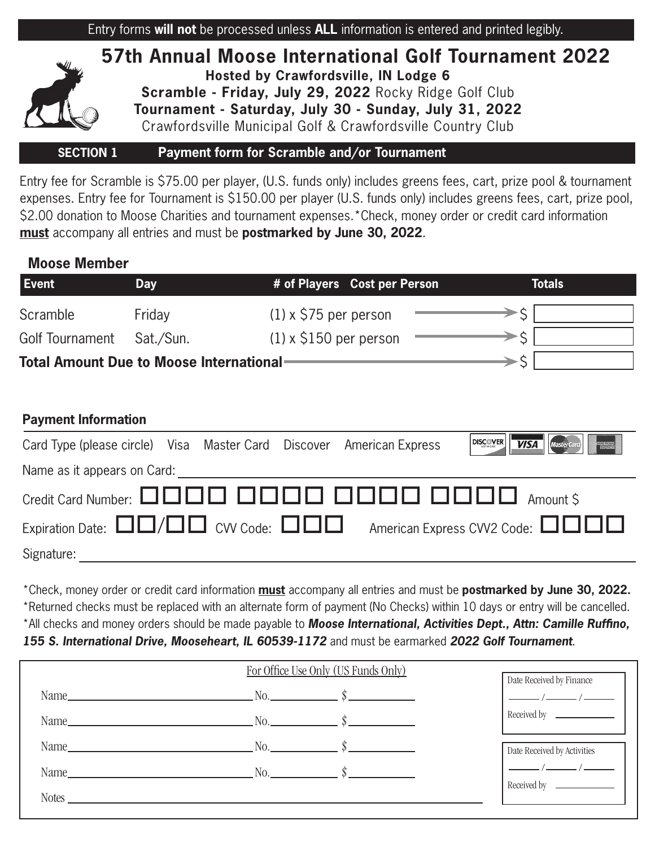



## **SECTION 1 Payment form for Scramble and/or Tournament**

Entry fee for Scramble is \$75.00 per player, (U.S. funds only) includes greens fees, cart, prize pool & tournament expenses. Entry fee for Tournament is \$150.00 per player (U.S. funds only) includes greens fees, cart, prize pool, \$2.00 donation to Moose Charities and tournament expenses.\*Check, money order or credit card information **must** accompany all entries and must be **postmarked by June 30, 2022**.

## **Moose Member**

| Event                                   | <b>Day</b> | # of Players Cost per Person  | Totals |
|-----------------------------------------|------------|-------------------------------|--------|
| Scramble                                | Friday     | $(1) \times$ \$75 per person  |        |
| Golf Tournament                         | Sat./Sun.  | $(1) \times$ \$150 per person |        |
| Total Amount Due to Moose International |            |                               |        |

## **Payment Information**

| Card Type (please circle) Visa Master Card Discover American Express |  |  |  |  | <b>DISCOVER VISA Mastercard</b>                                                                                                               |
|----------------------------------------------------------------------|--|--|--|--|-----------------------------------------------------------------------------------------------------------------------------------------------|
| Name as it appears on Card: Name as it appears on Card:              |  |  |  |  |                                                                                                                                               |
|                                                                      |  |  |  |  |                                                                                                                                               |
|                                                                      |  |  |  |  | Expiration Date: $\square\square/\square\square$ CVV Code: $\square\square\square$ American Express CVV2 Code: $\square\square\square\square$ |
| Signature:                                                           |  |  |  |  |                                                                                                                                               |

\*Check, money order or credit card information **must** accompany all entries and must be **postmarked by June 30, 2022.** \*Returned checks must be replaced with an alternate form of payment (No Checks) within 10 days or entry will be cancelled. \*All checks and money orders should be made payable to *Moose International, Activities Dept., Attn: Camille Ruffino, 155 S. International Drive, Mooseheart, IL 60539-1172* and must be earmarked *2022 Golf Tournament*.

| For Office Use Only (US Funds Only) |                                                                     |  | Date Received by Finance    |
|-------------------------------------|---------------------------------------------------------------------|--|-----------------------------|
|                                     | Name $\qquad \qquad N_0.$ $\qquad \qquad \mathbb{S}$                |  |                             |
|                                     | Name $\_\_\_\_\$ No. $\_\_\_\_\_\$                                  |  | Received by                 |
|                                     | Name $\_\_\_\_\$ No. $\_\_\_\_\$ \S                                 |  | Date Received by Activities |
|                                     | Name $\qquad \qquad \mathbb{N}\text{o.}$ $\qquad \qquad \mathbb{S}$ |  |                             |
| Notes_                              |                                                                     |  |                             |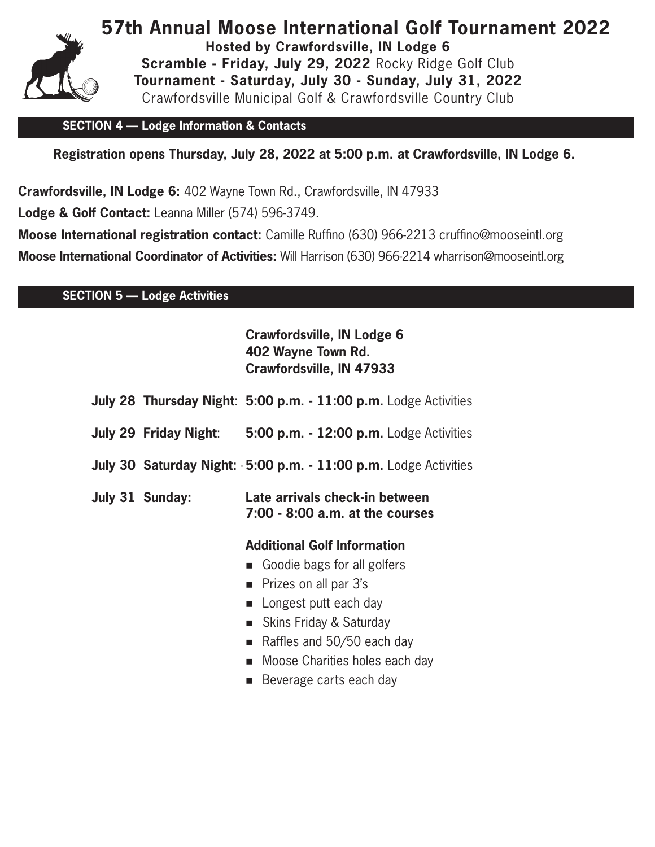

**57th Annual Moose International Golf Tournament 2022 Hosted by Crawfordsville, IN Lodge 6 Scramble - Friday, July 29, 2022** Rocky Ridge Golf Club **Tournament - Saturday, July 30 - Sunday, July 31, 2022**  Crawfordsville Municipal Golf & Crawfordsville Country Club

#### **SECTION 4 — Lodge Information & Contacts**

**Registration opens Thursday, July 28, 2022 at 5:00 p.m. at Crawfordsville, IN Lodge 6.**

**Crawfordsville, IN Lodge 6:** 402 Wayne Town Rd., Crawfordsville, IN 47933

**Lodge & Golf Contact:** Leanna Miller (574) 596-3749.

**Moose International registration contact:** Camille Ruffino (630) 966-2213 cruffino@mooseintl.org **Moose International Coordinator of Activities:** Will Harrison (630) 966-2214 wharrison@mooseintl.org

## **SECTION 5 — Lodge Activities**

# **Crawfordsville, IN Lodge 6 402 Wayne Town Rd. Crawfordsville, IN 47933**

|                 | July 28 Thursday Night: 5:00 p.m. - 11:00 p.m. Lodge Activities      |
|-----------------|----------------------------------------------------------------------|
|                 | <b>July 29 Friday Night: 5:00 p.m. - 12:00 p.m.</b> Lodge Activities |
|                 | July 30 Saturday Night: -5:00 p.m. - 11:00 p.m. Lodge Activities     |
| July 31 Sunday: | Late arrivals check-in between<br>7:00 - 8:00 a.m. at the courses    |
|                 | <b>Additional Golf Information</b>                                   |
|                 | Goodie bags for all golfers                                          |
|                 | • Prizes on all par 3's                                              |
|                 | • Longest putt each day                                              |
|                 | ■ Skins Friday & Saturday                                            |
|                 | Raffles and 50/50 each day<br>$\blacksquare$                         |
|                 | ■ Moose Charities holes each day                                     |

■ Beverage carts each day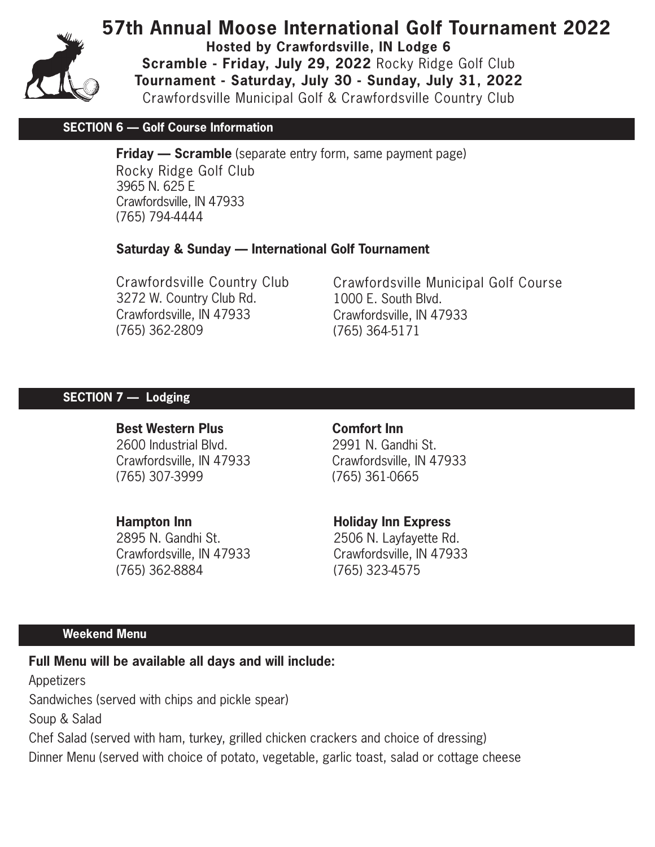

**57th Annual Moose International Golf Tournament 2022**

**Hosted by Crawfordsville, IN Lodge 6**

**Scramble - Friday, July 29, 2022** Rocky Ridge Golf Club **Tournament - Saturday, July 30 - Sunday, July 31, 2022**  Crawfordsville Municipal Golf & Crawfordsville Country Club

#### **SECTION 6 — Golf Course Information**

**Friday — Scramble** (separate entry form, same payment page) Rocky Ridge Golf Club 3965 N. 625 E Crawfordsville, IN 47933 (765) 794-4444

#### **Saturday & Sunday — International Golf Tournament**

Crawfordsville Country Club 3272 W. Country Club Rd. Crawfordsville, IN 47933 (765) 362-2809

Crawfordsville Municipal Golf Course 1000 E. South Blvd. Crawfordsville, IN 47933 (765) 364-5171

#### **SECTION 7 — Lodging**

#### **Best Western Plus**

2600 Industrial Blvd. Crawfordsville, IN 47933 (765) 307-3999

#### **Hampton Inn**

2895 N. Gandhi St. Crawfordsville, IN 47933 (765) 362-8884

**Comfort Inn** 2991 N. Gandhi St. Crawfordsville, IN 47933 (765) 361-0665

#### **Holiday Inn Express**

2506 N. Layfayette Rd. Crawfordsville, IN 47933 (765) 323-4575

#### **Weekend Menu**

**Full Menu will be available all days and will include:**

Appetizers

Sandwiches (served with chips and pickle spear)

Soup & Salad

Chef Salad (served with ham, turkey, grilled chicken crackers and choice of dressing) Dinner Menu (served with choice of potato, vegetable, garlic toast, salad or cottage cheese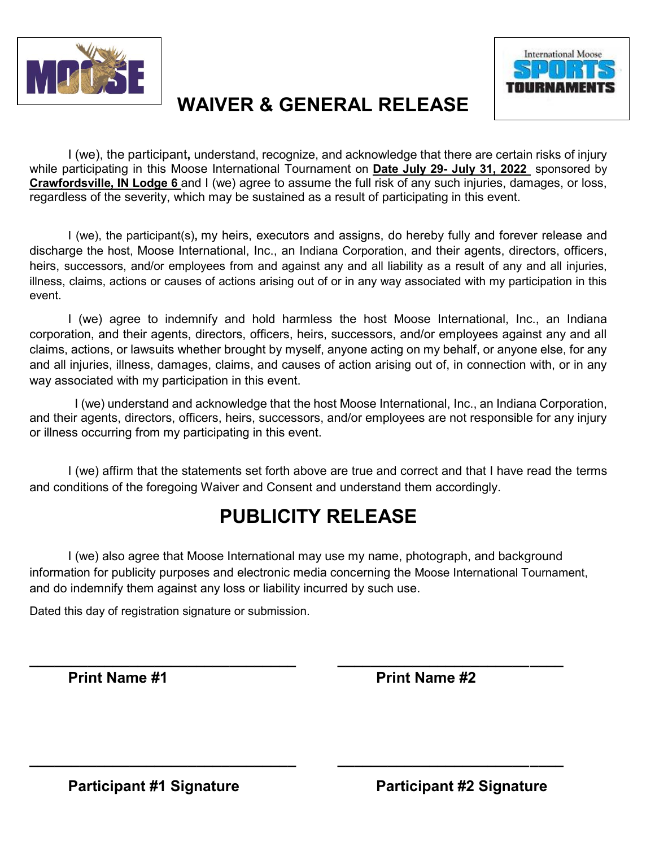



# **WAIVER & GENERAL RELEASE**

I (we), the participant**,** understand, recognize, and acknowledge that there are certain risks of injury while participating in this Moose International Tournament on **Date July 29- July 31, 2022** sponsored by **Crawfordsville, IN Lodge 6** and I (we) agree to assume the full risk of any such injuries, damages, or loss, regardless of the severity, which may be sustained as a result of participating in this event.

I (we), the participant(s)**,** my heirs, executors and assigns, do hereby fully and forever release and discharge the host, Moose International, Inc., an Indiana Corporation, and their agents, directors, officers, heirs, successors, and/or employees from and against any and all liability as a result of any and all injuries, illness, claims, actions or causes of actions arising out of or in any way associated with my participation in this event.

I (we) agree to indemnify and hold harmless the host Moose International, Inc., an Indiana corporation, and their agents, directors, officers, heirs, successors, and/or employees against any and all claims, actions, or lawsuits whether brought by myself, anyone acting on my behalf, or anyone else, for any and all injuries, illness, damages, claims, and causes of action arising out of, in connection with, or in any way associated with my participation in this event.

 I (we) understand and acknowledge that the host Moose International, Inc., an Indiana Corporation, and their agents, directors, officers, heirs, successors, and/or employees are not responsible for any injury or illness occurring from my participating in this event.

I (we) affirm that the statements set forth above are true and correct and that I have read the terms and conditions of the foregoing Waiver and Consent and understand them accordingly.

# **PUBLICITY RELEASE**

I (we) also agree that Moose International may use my name, photograph, and background information for publicity purposes and electronic media concerning the Moose International Tournament, and do indemnify them against any loss or liability incurred by such use.

**\_\_\_\_\_\_\_\_\_\_\_\_\_\_\_\_\_\_\_\_\_\_\_\_\_\_\_\_\_\_\_\_ \_\_\_\_\_\_\_\_\_\_\_\_\_\_\_\_\_\_\_\_\_\_\_\_\_\_\_**

**\_\_\_\_\_\_\_\_\_\_\_\_\_\_\_\_\_\_\_\_\_\_\_\_\_\_\_\_\_\_\_\_ \_\_\_\_\_\_\_\_\_\_\_\_\_\_\_\_\_\_\_\_\_\_\_\_\_\_\_**

Dated this day of registration signature or submission.

**Print Name #1** Print Name #2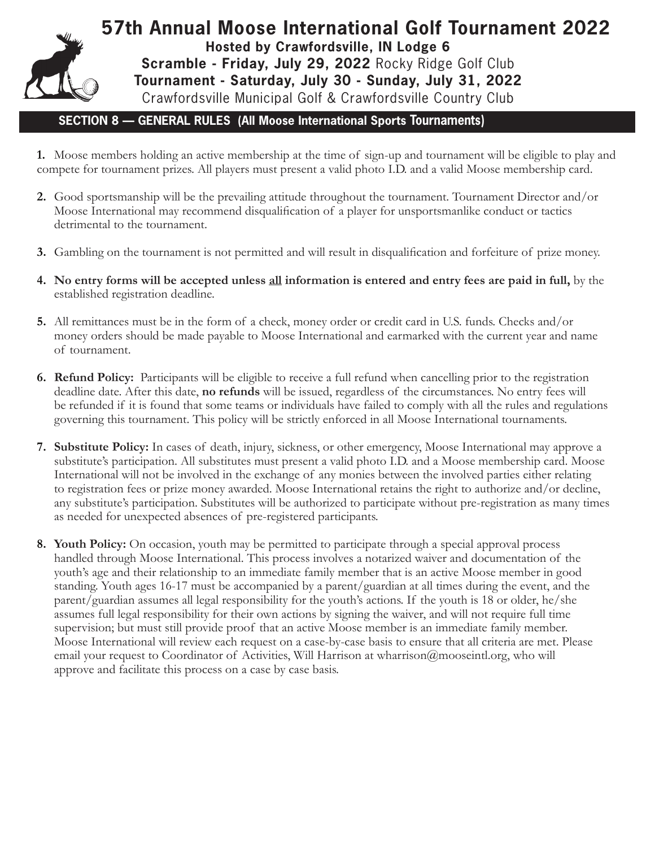

**57th Annual Moose International Golf Tournament 2022 Hosted by Crawfordsville, IN Lodge 6 Scramble - Friday, July 29, 2022** Rocky Ridge Golf Club **Tournament - Saturday, July 30 - Sunday, July 31, 2022**  Crawfordsville Municipal Golf & Crawfordsville Country Club

## **SECTION 8 — GENERAL RULES (All Moose International Sports Tournaments)**

**1.** Moose members holding an active membership at the time of sign-up and tournament will be eligible to play and compete for tournament prizes. All players must present a valid photo I.D. and a valid Moose membership card.

- **2.** Good sportsmanship will be the prevailing attitude throughout the tournament. Tournament Director and/or Moose International may recommend disqualification of a player for unsportsmanlike conduct or tactics detrimental to the tournament.
- **3.** Gambling on the tournament is not permitted and will result in disqualification and forfeiture of prize money.
- **4. No entry forms will be accepted unless all information is entered and entry fees are paid in full,** by the established registration deadline.
- **5.** All remittances must be in the form of a check, money order or credit card in U.S. funds. Checks and/or money orders should be made payable to Moose International and earmarked with the current year and name of tournament.
- **6. Refund Policy:** Participants will be eligible to receive a full refund when cancelling prior to the registration deadline date. After this date, **no refunds** will be issued, regardless of the circumstances. No entry fees will be refunded if it is found that some teams or individuals have failed to comply with all the rules and regulations governing this tournament. This policy will be strictly enforced in all Moose International tournaments.
- **7. Substitute Policy:** In cases of death, injury, sickness, or other emergency, Moose International may approve a substitute's participation. All substitutes must present a valid photo I.D. and a Moose membership card. Moose International will not be involved in the exchange of any monies between the involved parties either relating to registration fees or prize money awarded. Moose International retains the right to authorize and/or decline, any substitute's participation. Substitutes will be authorized to participate without pre-registration as many times as needed for unexpected absences of pre-registered participants.
- **8. Youth Policy:** On occasion, youth may be permitted to participate through a special approval process handled through Moose International. This process involves a notarized waiver and documentation of the youth's age and their relationship to an immediate family member that is an active Moose member in good standing. Youth ages 16-17 must be accompanied by a parent/guardian at all times during the event, and the parent/guardian assumes all legal responsibility for the youth's actions. If the youth is 18 or older, he/she assumes full legal responsibility for their own actions by signing the waiver, and will not require full time supervision; but must still provide proof that an active Moose member is an immediate family member. Moose International will review each request on a case-by-case basis to ensure that all criteria are met. Please email your request to Coordinator of Activities, Will Harrison at wharrison@mooseintl.org, who will approve and facilitate this process on a case by case basis.